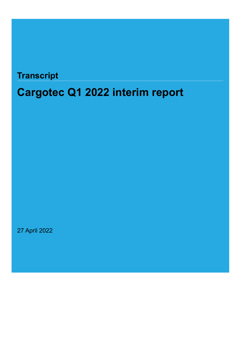## **Transcript**

# **Cargotec Q1 2022 interim report**

27 April 2022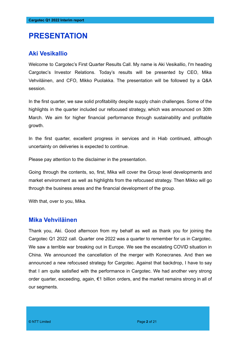### **PRESENTATION**

#### **Aki Vesikallio**

Welcome to Cargotec's First Quarter Results Call. My name is Aki Vesikallio, I'm heading Cargotec's Investor Relations. Today's results will be presented by CEO, Mika Vehviläinen, and CFO, Mikko Puolakka. The presentation will be followed by a Q&A session.

In the first quarter, we saw solid profitability despite supply chain challenges. Some of the highlights in the quarter included our refocused strategy, which was announced on 30th March. We aim for higher financial performance through sustainability and profitable growth.

In the first quarter, excellent progress in services and in Hiab continued, although uncertainty on deliveries is expected to continue.

Please pay attention to the disclaimer in the presentation.

Going through the contents, so, first, Mika will cover the Group level developments and market environment as well as highlights from the refocused strategy. Then Mikko will go through the business areas and the financial development of the group.

With that, over to you, Mika.

#### **Mika Vehviläinen**

Thank you, Aki. Good afternoon from my behalf as well as thank you for joining the Cargotec Q1 2022 call. Quarter one 2022 was a quarter to remember for us in Cargotec. We saw a terrible war breaking out in Europe. We see the escalating COVID situation in China. We announced the cancellation of the merger with Konecranes. And then we announced a new refocused strategy for Cargotec. Against that backdrop, I have to say that I am quite satisfied with the performance in Cargotec. We had another very strong order quarter, exceeding, again, €1 billion orders, and the market remains strong in all of our segments.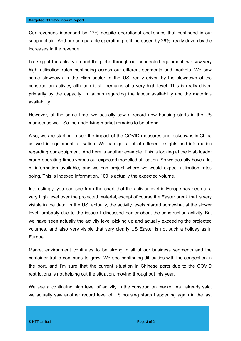Our revenues increased by 17% despite operational challenges that continued in our supply chain. And our comparable operating profit increased by 26%, really driven by the increases in the revenue.

Looking at the activity around the globe through our connected equipment, we saw very high utilisation rates continuing across our different segments and markets. We saw some slowdown in the Hiab sector in the US, really driven by the slowdown of the construction activity, although it still remains at a very high level. This is really driven primarily by the capacity limitations regarding the labour availability and the materials availability.

However, at the same time, we actually saw a record new housing starts in the US markets as well. So the underlying market remains to be strong.

Also, we are starting to see the impact of the COVID measures and lockdowns in China as well in equipment utilisation. We can get a lot of different insights and information regarding our equipment. And here is another example. This is looking at the Hiab loader crane operating times versus our expected modelled utilisation. So we actually have a lot of information available, and we can project where we would expect utilisation rates going. This is indexed information. 100 is actually the expected volume.

Interestingly, you can see from the chart that the activity level in Europe has been at a very high level over the projected material, except of course the Easter break that is very visible in the data. In the US, actually, the activity levels started somewhat at the slower level, probably due to the issues I discussed earlier about the construction activity. But we have seen actually the activity level picking up and actually exceeding the projected volumes, and also very visible that very clearly US Easter is not such a holiday as in Europe.

Market environment continues to be strong in all of our business segments and the container traffic continues to grow. We see continuing difficulties with the congestion in the port, and I'm sure that the current situation in Chinese ports due to the COVID restrictions is not helping out the situation, moving throughout this year.

We see a continuing high level of activity in the construction market. As I already said, we actually saw another record level of US housing starts happening again in the last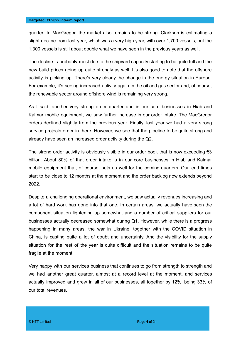quarter. In MacGregor, the market also remains to be strong. Clarkson is estimating a slight decline from last year, which was a very high year, with over 1,700 vessels, but the 1,300 vessels is still about double what we have seen in the previous years as well.

The decline is probably most due to the shipyard capacity starting to be quite full and the new build prices going up quite strongly as well. It's also good to note that the offshore activity is picking up. There's very clearly the change in the energy situation in Europe. For example, it's seeing increased activity again in the oil and gas sector and, of course, the renewable sector around offshore wind is remaining very strong.

As I said, another very strong order quarter and in our core businesses in Hiab and Kalmar mobile equipment, we saw further increase in our order intake. The MacGregor orders declined slightly from the previous year. Finally, last year we had a very strong service projects order in there. However, we see that the pipeline to be quite strong and already have seen an increased order activity during the Q2.

The strong order activity is obviously visible in our order book that is now exceeding  $\epsilon$ 3 billion. About 80% of that order intake is in our core businesses in Hiab and Kalmar mobile equipment that, of course, sets us well for the coming quarters. Our lead times start to be close to 12 months at the moment and the order backlog now extends beyond 2022.

Despite a challenging operational environment, we saw actually revenues increasing and a lot of hard work has gone into that one. In certain areas, we actually have seen the component situation lightening up somewhat and a number of critical suppliers for our businesses actually decreased somewhat during Q1. However, while there is a progress happening in many areas, the war in Ukraine, together with the COVID situation in China, is casting quite a lot of doubt and uncertainty. And the visibility for the supply situation for the rest of the year is quite difficult and the situation remains to be quite fragile at the moment.

Very happy with our services business that continues to go from strength to strength and we had another great quarter, almost at a record level at the moment, and services actually improved and grew in all of our businesses, all together by 12%, being 33% of our total revenues.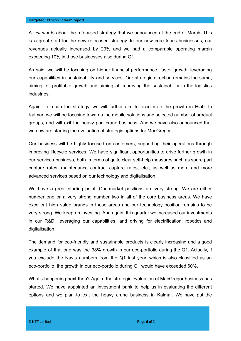A few words about the refocused strategy that we announced at the end of March. This is a great start for the new refocused strategy. In our new core focus businesses, our revenues actually increased by 23% and we had a comparable operating margin exceeding 10% in those businesses also during Q1.

As said, we will be focusing on higher financial performance, faster growth, leveraging our capabilities in sustainability and services. Our strategic direction remains the same, aiming for profitable growth and aiming at improving the sustainability in the logistics industries.

Again, to recap the strategy, we will further aim to accelerate the growth in Hiab. In Kalmar, we will be focusing towards the mobile solutions and selected number of product groups, and will exit the heavy port crane business. And we have also announced that we now are starting the evaluation of strategic options for MacGregor.

Our business will be highly focused on customers, supporting their operations through improving lifecycle services. We have significant opportunities to drive further growth in our services business, both in terms of quite clear self-help measures such as spare part capture rates, maintenance contract capture rates, etc., as well as more and more advanced services based on our technology and digitalisation.

We have a great starting point. Our market positions are very strong. We are either number one or a very strong number two in all of the core business areas. We have excellent high value brands in those areas and our technology position remains to be very strong. We keep on investing. And again, this quarter we increased our investments in our R&D, leveraging our capabilities, and driving for electrification, robotics and digitalisation.

The demand for eco-friendly and sustainable products is clearly increasing and a good example of that one was the 38% growth in our eco-portfolio during the Q1. Actually, if you exclude the Navis numbers from the Q1 last year, which is also classified as an eco-portfolio, the growth in our eco-portfolio during Q1 would have exceeded 60%.

What's happening next then? Again, the strategic evaluation of MacGregor business has started. We have appointed an investment bank to help us in evaluating the different options and we plan to exit the heavy crane business in Kalmar. We have put the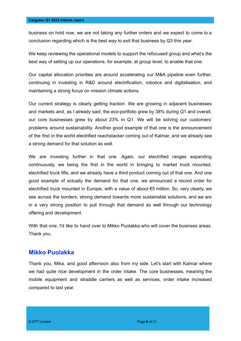business on hold now, we are not taking any further orders and we expect to come to a conclusion regarding which is the best way to exit that business by Q3 this year.

We keep reviewing the operational models to support the refocused group and what's the best way of setting up our operations, for example, at group level, to enable that one.

Our capital allocation priorities are around accelerating our M&A pipeline even further, continuing in investing in R&D around electrification, robotics and digitalisation, and maintaining a strong focus on mission climate actions.

Our current strategy is clearly getting traction. We are growing in adjacent businesses and markets and, as I already said, the eco-portfolio grew by 38% during Q1 and overall, our core businesses grew by about 23% in Q1. We will be solving our customers' problems around sustainability. Another good example of that one is the announcement of the first in the world electrified reachstacker coming out of Kalmar, and we already see a strong demand for that solution as well.

We are investing further in that one. Again, our electrified ranges expanding continuously, we being the first in the world in bringing to market truck mounted, electrified truck lifts, and we already have a third product coming out of that one. And one good example of actually the demand for that one, we announced a record order for electrified truck mounted in Europe, with a value of about €5 million. So, very clearly, we see across the borders, strong demand towards more sustainable solutions, and we are in a very strong position to pull through that demand as well through our technology offering and development.

With that one, I'd like to hand over to Mikko Puolakka who will cover the business areas. Thank you.

#### **Mikko Puolakka**

Thank you, Mika, and good afternoon also from my side. Let's start with Kalmar where we had quite nice development in the order intake. The core businesses, meaning the mobile equipment and straddle carriers as well as services, order intake increased compared to last year.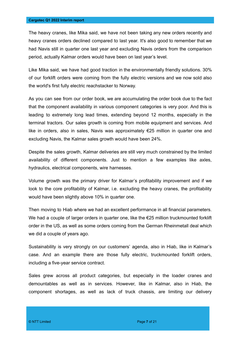The heavy cranes, like Mika said, we have not been taking any new orders recently and heavy cranes orders declined compared to last year. It's also good to remember that we had Navis still in quarter one last year and excluding Navis orders from the comparison period, actually Kalmar orders would have been on last year's level.

Like Mika said, we have had good traction in the environmentally friendly solutions. 30% of our forklift orders were coming from the fully electric versions and we now sold also the world's first fully electric reachstacker to Norway.

As you can see from our order book, we are accumulating the order book due to the fact that the component availability in various component categories is very poor. And this is leading to extremely long lead times, extending beyond 12 months, especially in the terminal tractors. Our sales growth is coming from mobile equipment and services. And like in orders, also in sales, Navis was approximately €25 million in quarter one and excluding Navis, the Kalmar sales growth would have been 24%.

Despite the sales growth, Kalmar deliveries are still very much constrained by the limited availability of different components. Just to mention a few examples like axles, hydraulics, electrical components, wire harnesses.

Volume growth was the primary driver for Kalmar's profitability improvement and if we look to the core profitability of Kalmar, i.e. excluding the heavy cranes, the profitability would have been slightly above 10% in quarter one.

Then moving to Hiab where we had an excellent performance in all financial parameters. We had a couple of larger orders in quarter one, like the €25 million truckmounted forklift order in the US, as well as some orders coming from the German Rheinmetall deal which we did a couple of years ago.

Sustainability is very strongly on our customers' agenda, also in Hiab, like in Kalmar's case. And an example there are those fully electric, truckmounted forklift orders, including a five-year service contract.

Sales grew across all product categories, but especially in the loader cranes and demountables as well as in services. However, like in Kalmar, also in Hiab, the component shortages, as well as lack of truck chassis, are limiting our delivery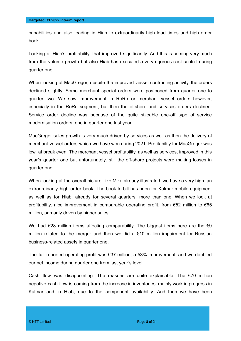capabilities and also leading in Hiab to extraordinarily high lead times and high order book.

Looking at Hiab's profitability, that improved significantly. And this is coming very much from the volume growth but also Hiab has executed a very rigorous cost control during quarter one.

When looking at MacGregor, despite the improved vessel contracting activity, the orders declined slightly. Some merchant special orders were postponed from quarter one to quarter two. We saw improvement in RoRo or merchant vessel orders however, especially in the RoRo segment, but then the offshore and services orders declined. Service order decline was because of the quite sizeable one-off type of service modernisation orders, one in quarter one last year.

MacGregor sales growth is very much driven by services as well as then the delivery of merchant vessel orders which we have won during 2021. Profitability for MacGregor was low, at break even. The merchant vessel profitability, as well as services, improved in this year's quarter one but unfortunately, still the off-shore projects were making losses in quarter one.

When looking at the overall picture, like Mika already illustrated, we have a very high, an extraordinarily high order book. The book-to-bill has been for Kalmar mobile equipment as well as for Hiab, already for several quarters, more than one. When we look at profitability, nice improvement in comparable operating profit, from €52 million to €65 million, primarily driven by higher sales.

We had  $\epsilon$ 28 million items affecting comparability. The biggest items here are the  $\epsilon$ 9 million related to the merger and then we did a  $€10$  million impairment for Russian business-related assets in quarter one.

The full reported operating profit was €37 million, a 53% improvement, and we doubled our net income during quarter one from last year's level.

Cash flow was disappointing. The reasons are quite explainable. The  $\epsilon$ 70 million negative cash flow is coming from the increase in inventories, mainly work in progress in Kalmar and in Hiab, due to the component availability. And then we have been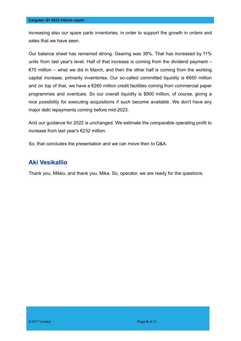increasing also our spare parts inventories, in order to support the growth in orders and sales that we have seen.

Our balance sheet has remained strong. Gearing was 38%. That has increased by 11% units from last year's level. Half of that increase is coming from the dividend payment –  $€70$  million – what we did in March, and then the other half is coming from the working capital increase, primarily inventories. Our so-called committed liquidity is €650 million and on top of that, we have a €260 million credit facilities coming from commercial paper programmes and overdues. So our overall liquidity is \$900 million, of course, giving a nice possibility for executing acquisitions if such become available. We don't have any major debt repayments coming before mid-2023.

And our guidance for 2022 is unchanged. We estimate the comparable operating profit to increase from last year's €232 million.

So, that concludes the presentation and we can move then to Q&A.

#### **Aki Vesikallio**

Thank you, Mikko, and thank you, Mika. So, operator, we are ready for the questions.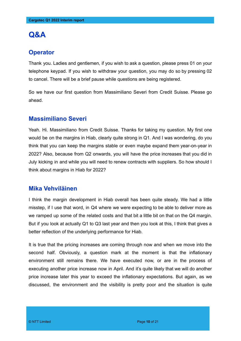## **Q&A**

#### **Operator**

Thank you. Ladies and gentlemen, if you wish to ask a question, please press 01 on your telephone keypad. If you wish to withdraw your question, you may do so by pressing 02 to cancel. There will be a brief pause while questions are being registered.

So we have our first question from Massimiliano Severi from Credit Suisse. Please go ahead.

#### **Massimiliano Severi**

Yeah. Hi. Massimiliano from Credit Suisse. Thanks for taking my question. My first one would be on the margins in Hiab, clearly quite strong in Q1. And I was wondering, do you think that you can keep the margins stable or even maybe expand them year-on-year in 2022? Also, because from Q2 onwards, you will have the price increases that you did in July kicking in and while you will need to renew contracts with suppliers. So how should I think about margins in Hiab for 2022?

#### **Mika Vehviläinen**

I think the margin development in Hiab overall has been quite steady. We had a little misstep, if I use that word, in Q4 where we were expecting to be able to deliver more as we ramped up some of the related costs and that bit a little bit on that on the Q4 margin. But if you look at actually Q1 to Q3 last year and then you look at this, I think that gives a better reflection of the underlying performance for Hiab.

It is true that the pricing increases are coming through now and when we move into the second half. Obviously, a question mark at the moment is that the inflationary environment still remains there. We have executed now, or are in the process of executing another price increase now in April. And it's quite likely that we will do another price increase later this year to exceed the inflationary expectations. But again, as we discussed, the environment and the visibility is pretty poor and the situation is quite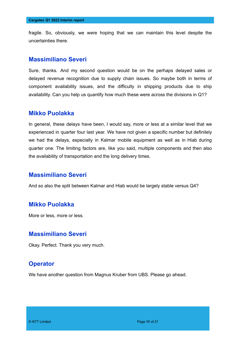fragile. So, obviously, we were hoping that we can maintain this level despite the uncertainties there.

#### **Massimiliano Severi**

Sure, thanks. And my second question would be on the perhaps delayed sales or delayed revenue recognition due to supply chain issues. So maybe both in terms of component availability issues, and the difficulty in shipping products due to ship availability. Can you help us quantify how much these were across the divisions in Q1?

#### **Mikko Puolakka**

In general, these delays have been, I would say, more or less at a similar level that we experienced in quarter four last year. We have not given a specific number but definitely we had the delays, especially in Kalmar mobile equipment as well as in Hiab during quarter one. The limiting factors are, like you said, multiple components and then also the availability of transportation and the long delivery times.

#### **Massimiliano Severi**

And so also the split between Kalmar and Hiab would be largely stable versus Q4?

#### **Mikko Puolakka**

More or less, more or less.

#### **Massimiliano Severi**

Okay. Perfect. Thank you very much.

#### **Operator**

We have another question from Magnus Kruber from UBS. Please go ahead.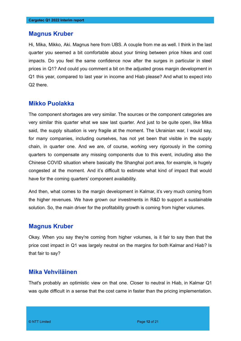#### **Magnus Kruber**

Hi, Mika, Mikko, Aki. Magnus here from UBS. A couple from me as well. I think in the last quarter you seemed a bit comfortable about your timing between price hikes and cost impacts. Do you feel the same confidence now after the surges in particular in steel prices in Q1? And could you comment a bit on the adjusted gross margin development in Q1 this year, compared to last year in income and Hiab please? And what to expect into Q2 there.

#### **Mikko Puolakka**

The component shortages are very similar. The sources or the component categories are very similar this quarter what we saw last quarter. And just to be quite open, like Mika said, the supply situation is very fragile at the moment. The Ukrainian war, I would say, for many companies, including ourselves, has not yet been that visible in the supply chain, in quarter one. And we are, of course, working very rigorously in the coming quarters to compensate any missing components due to this event, including also the Chinese COVID situation where basically the Shanghai port area, for example, is hugely congested at the moment. And it's difficult to estimate what kind of impact that would have for the coming quarters' component availability.

And then, what comes to the margin development in Kalmar, it's very much coming from the higher revenues. We have grown our investments in R&D to support a sustainable solution. So, the main driver for the profitability growth is coming from higher volumes.

#### **Magnus Kruber**

Okay. When you say they're coming from higher volumes, is it fair to say then that the price cost impact in Q1 was largely neutral on the margins for both Kalmar and Hiab? Is that fair to say?

#### **Mika Vehviläinen**

That's probably an optimistic view on that one. Closer to neutral in Hiab, in Kalmar Q1 was quite difficult in a sense that the cost came in faster than the pricing implementation.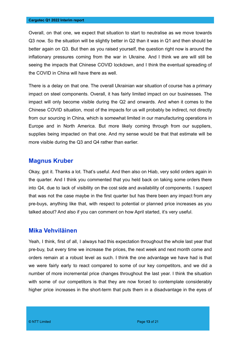Overall, on that one, we expect that situation to start to neutralise as we move towards Q3 now. So the situation will be slightly better in Q2 than it was in Q1 and then should be better again on Q3. But then as you raised yourself, the question right now is around the inflationary pressures coming from the war in Ukraine. And I think we are will still be seeing the impacts that Chinese COVID lockdown, and I think the eventual spreading of the COVID in China will have there as well.

There is a delay on that one. The overall Ukrainian war situation of course has a primary impact on steel components. Overall, it has fairly limited impact on our businesses. The impact will only become visible during the Q2 and onwards. And when it comes to the Chinese COVID situation, most of the impacts for us will probably be indirect, not directly from our sourcing in China, which is somewhat limited in our manufacturing operations in Europe and in North America. But more likely coming through from our suppliers, supplies being impacted on that one. And my sense would be that that estimate will be more visible during the Q3 and Q4 rather than earlier.

#### **Magnus Kruber**

Okay, got it. Thanks a lot. That's useful. And then also on Hiab, very solid orders again in the quarter. And I think you commented that you held back on taking some orders there into Q4, due to lack of visibility on the cost side and availability of components. I suspect that was not the case maybe in the first quarter but has there been any impact from any pre-buys, anything like that, with respect to potential or planned price increases as you talked about? And also if you can comment on how April started, it's very useful.

#### **Mika Vehviläinen**

Yeah, I think, first of all, I always had this expectation throughout the whole last year that pre-buy, but every time we increase the prices, the next week and next month come and orders remain at a robust level as such. I think the one advantage we have had is that we were fairly early to react compared to some of our key competitors, and we did a number of more incremental price changes throughout the last year. I think the situation with some of our competitors is that they are now forced to contemplate considerably higher price increases in the short-term that puts them in a disadvantage in the eyes of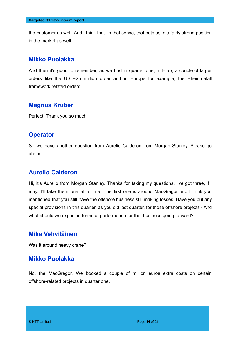the customer as well. And I think that, in that sense, that puts us in a fairly strong position in the market as well.

#### **Mikko Puolakka**

And then it's good to remember, as we had in quarter one, in Hiab, a couple of larger orders like the US €25 million order and in Europe for example, the Rheinmetall framework related orders.

#### **Magnus Kruber**

Perfect. Thank you so much.

#### **Operator**

So we have another question from Aurelio Calderon from Morgan Stanley. Please go ahead.

#### **Aurelio Calderon**

Hi, it's Aurelio from Morgan Stanley. Thanks for taking my questions. I've got three, if I may. I'll take them one at a time. The first one is around MacGregor and I think you mentioned that you still have the offshore business still making losses. Have you put any special provisions in this quarter, as you did last quarter, for those offshore projects? And what should we expect in terms of performance for that business going forward?

#### **Mika Vehviläinen**

Was it around heavy crane?

#### **Mikko Puolakka**

No, the MacGregor. We booked a couple of million euros extra costs on certain offshore-related projects in quarter one.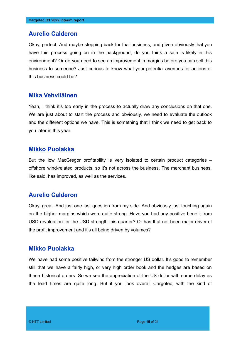#### **Aurelio Calderon**

Okay, perfect. And maybe stepping back for that business, and given obviously that you have this process going on in the background, do you think a sale is likely in this environment? Or do you need to see an improvement in margins before you can sell this business to someone? Just curious to know what your potential avenues for actions of this business could be?

#### **Mika Vehviläinen**

Yeah, I think it's too early in the process to actually draw any conclusions on that one. We are just about to start the process and obviously, we need to evaluate the outlook and the different options we have. This is something that I think we need to get back to you later in this year.

#### **Mikko Puolakka**

But the low MacGregor profitability is very isolated to certain product categories – offshore wind-related products, so it's not across the business. The merchant business, like said, has improved, as well as the services.

#### **Aurelio Calderon**

Okay, great. And just one last question from my side. And obviously just touching again on the higher margins which were quite strong. Have you had any positive benefit from USD revaluation for the USD strength this quarter? Or has that not been major driver of the profit improvement and it's all being driven by volumes?

#### **Mikko Puolakka**

We have had some positive tailwind from the stronger US dollar. It's good to remember still that we have a fairly high, or very high order book and the hedges are based on these historical orders. So we see the appreciation of the US dollar with some delay as the lead times are quite long. But if you look overall Cargotec, with the kind of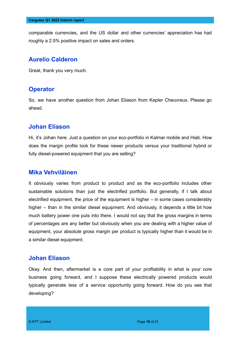comparable currencies, and the US dollar and other currencies' appreciation has had roughly a 2.5% positive impact on sales and orders.

#### **Aurelio Calderon**

Great, thank you very much.

#### **Operator**

So, we have another question from Johan Eliason from Kepler Cheuvreux. Please go ahead.

#### **Johan Eliason**

Hi, it's Johan here. Just a question on your eco-portfolio in Kalmar mobile and Hiab. How does the margin profile look for these newer products versus your traditional hybrid or fully diesel-powered equipment that you are selling?

#### **Mika Vehviläinen**

It obviously varies from product to product and as the eco-portfolio includes other sustainable solutions than just the electrified portfolio. But generally, if I talk about electrified equipment, the price of the equipment is higher – in some cases considerably higher – than in the similar diesel equipment. And obviously, it depends a little bit how much battery power one puts into there. I would not say that the gross margins in terms of percentages are any better but obviously when you are dealing with a higher value of equipment, your absolute gross margin per product is typically higher than it would be in a similar diesel equipment.

#### **Johan Eliason**

Okay. And then, aftermarket is a core part of your profitability in what is your core business going forward, and I suppose these electrically powered products would typically generate less of a service opportunity going forward. How do you see that developing?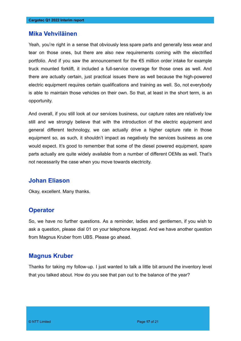#### **Mika Vehviläinen**

Yeah, you're right in a sense that obviously less spare parts and generally less wear and tear on those ones, but there are also new requirements coming with the electrified portfolio. And if you saw the announcement for the €5 million order intake for example truck mounted forklift, it included a full-service coverage for those ones as well. And there are actually certain, just practical issues there as well because the high-powered electric equipment requires certain qualifications and training as well. So, not everybody is able to maintain those vehicles on their own. So that, at least in the short term, is an opportunity.

And overall, if you still look at our services business, our capture rates are relatively low still and we strongly believe that with the introduction of the electric equipment and general different technology, we can actually drive a higher capture rate in those equipment so, as such, it shouldn't impact as negatively the services business as one would expect. It's good to remember that some of the diesel powered equipment, spare parts actually are quite widely available from a number of different OEMs as well. That's not necessarily the case when you move towards electricity.

#### **Johan Eliason**

Okay, excellent. Many thanks.

#### **Operator**

So, we have no further questions. As a reminder, ladies and gentlemen, if you wish to ask a question, please dial 01 on your telephone keypad. And we have another question from Magnus Kruber from UBS. Please go ahead.

#### **Magnus Kruber**

Thanks for taking my follow-up. I just wanted to talk a little bit around the inventory level that you talked about. How do you see that pan out to the balance of the year?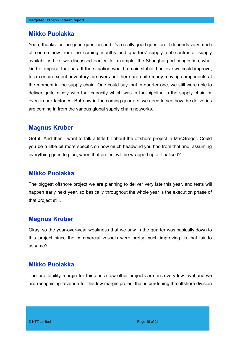#### **Mikko Puolakka**

Yeah, thanks for the good question and it's a really good question. It depends very much of course now from the coming months and quarters' supply, sub-contractor supply availability. Like we discussed earlier, for example, the Shanghai port congestion, what kind of impact that has. If the situation would remain stable, I believe we could improve, to a certain extent, inventory turnovers but there are quite many moving components at the moment in the supply chain. One could say that in quarter one, we still were able to deliver quite nicely with that capacity which was in the pipeline in the supply chain or even in our factories. But now in the coming quarters, we need to see how the deliveries are coming in from the various global supply chain networks.

#### **Magnus Kruber**

Got it. And then I want to talk a little bit about the offshore project in MacGregor. Could you be a little bit more specific on how much headwind you had from that and, assuming everything goes to plan, when that project will be wrapped up or finalised?

#### **Mikko Puolakka**

The biggest offshore project we are planning to deliver very late this year, and tests will happen early next year, so basically throughout the whole year is the execution phase of that project still.

#### **Magnus Kruber**

Okay, so the year-over-year weakness that we saw in the quarter was basically down to this project since the commercial vessels were pretty much improving. Is that fair to assume?

#### **Mikko Puolakka**

The profitability margin for this and a few other projects are on a very low level and we are recognising revenue for this low margin project that is burdening the offshore division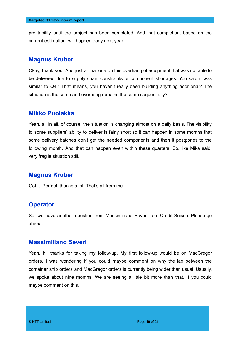profitability until the project has been completed. And that completion, based on the current estimation, will happen early next year.

#### **Magnus Kruber**

Okay, thank you. And just a final one on this overhang of equipment that was not able to be delivered due to supply chain constraints or component shortages: You said it was similar to Q4? That means, you haven't really been building anything additional? The situation is the same and overhang remains the same sequentially?

#### **Mikko Puolakka**

Yeah, all in all, of course, the situation is changing almost on a daily basis. The visibility to some suppliers' ability to deliver is fairly short so it can happen in some months that some delivery batches don't get the needed components and then it postpones to the following month. And that can happen even within these quarters. So, like Mika said, very fragile situation still.

#### **Magnus Kruber**

Got it. Perfect, thanks a lot. That's all from me.

#### **Operator**

So, we have another question from Massimiliano Severi from Credit Suisse. Please go ahead.

#### **Massimiliano Severi**

Yeah, hi, thanks for taking my follow-up. My first follow-up would be on MacGregor orders. I was wondering if you could maybe comment on why the lag between the container ship orders and MacGregor orders is currently being wider than usual. Usually, we spoke about nine months. We are seeing a little bit more than that. If you could maybe comment on this.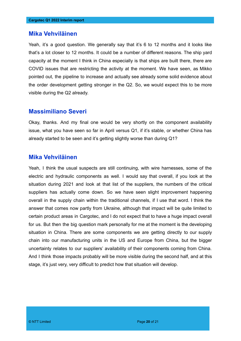#### **Mika Vehviläinen**

Yeah, it's a good question. We generally say that it's 6 to 12 months and it looks like that's a lot closer to 12 months. It could be a number of different reasons. The ship yard capacity at the moment I think in China especially is that ships are built there, there are COVID issues that are restricting the activity at the moment. We have seen, as Mikko pointed out, the pipeline to increase and actually see already some solid evidence about the order development getting stronger in the Q2. So, we would expect this to be more visible during the Q2 already.

#### **Massimiliano Severi**

Okay, thanks. And my final one would be very shortly on the component availability issue, what you have seen so far in April versus Q1, if it's stable, or whether China has already started to be seen and it's getting slightly worse than during Q1?

#### **Mika Vehviläinen**

Yeah, I think the usual suspects are still continuing, with wire harnesses, some of the electric and hydraulic components as well. I would say that overall, if you look at the situation during 2021 and look at that list of the suppliers, the numbers of the critical suppliers has actually come down. So we have seen slight improvement happening overall in the supply chain within the traditional channels, if I use that word. I think the answer that comes now partly from Ukraine, although that impact will be quite limited to certain product areas in Cargotec, and I do not expect that to have a huge impact overall for us. But then the big question mark personally for me at the moment is the developing situation in China. There are some components we are getting directly to our supply chain into our manufacturing units in the US and Europe from China, but the bigger uncertainty relates to our suppliers' availability of their components coming from China. And I think those impacts probably will be more visible during the second half, and at this stage, it's just very, very difficult to predict how that situation will develop.